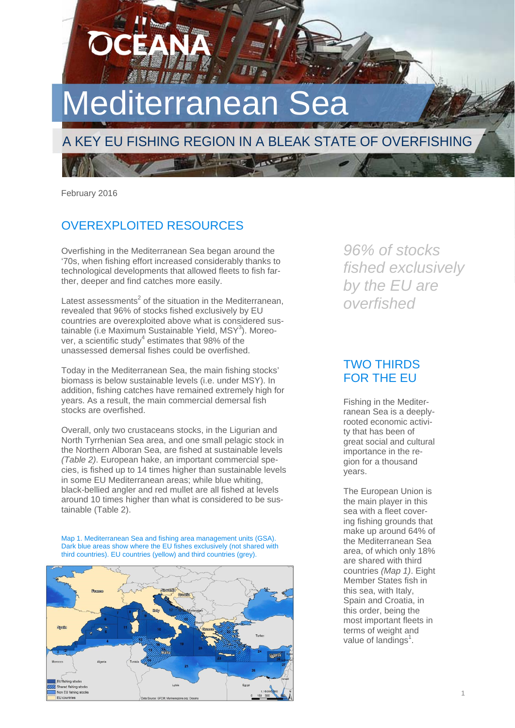# Mediterranean S

# A KEY EU FISHING REGION IN A BLEAK STATE OF OVERFISHING

February 2016

## OVEREXPLOITED RESOURCES

Overfishing in the Mediterranean Sea began around the '70s, when fishing effort increased considerably thanks to technological developments that allowed fleets to fish farther, deeper and find catches more easily.

Latest assessments<sup>2</sup> of the situation in the Mediterranean, revealed that 96% of stocks fished exclusively by EU countries are overexploited above what is considered sustainable (i.e Maximum Sustainable Yield, MSY<sup>3</sup>). Moreover, a scientific study<sup>4</sup> estimates that 98% of the unassessed demersal fishes could be overfished.

Today in the Mediterranean Sea, the main fishing stocks' biomass is below sustainable levels (i.e. under MSY). In addition, fishing catches have remained extremely high for years. As a result, the main commercial demersal fish stocks are overfished.

Overall, only two crustaceans stocks, in the Ligurian and North Tyrrhenian Sea area, and one small pelagic stock in the Northern Alboran Sea, are fished at sustainable levels *(Table 2)*. European hake, an important commercial species, is fished up to 14 times higher than sustainable levels in some EU Mediterranean areas; while blue whiting, black-bellied angler and red mullet are all fished at levels around 10 times higher than what is considered to be sustainable (Table 2).

Map 1. Mediterranean Sea and fishing area management units (GSA). Dark blue areas show where the EU fishes exclusively (not shared with third countries). EU countries (yellow) and third countries (grey).



*96% of stocks fished exclusively by the EU are overfished* 

## TWO THIRDS FOR THE EU

Fishing in the Mediterranean Sea is a deeplyrooted economic activity that has been of great social and cultural importance in the region for a thousand years.

The European Union is the main player in this sea with a fleet covering fishing grounds that make up around 64% of the Mediterranean Sea area, of which only 18% are shared with third countries *(Map 1)*. Eight Member States fish in this sea, with Italy, Spain and Croatia, in this order, being the most important fleets in terms of weight and value of landings<sup>1</sup>.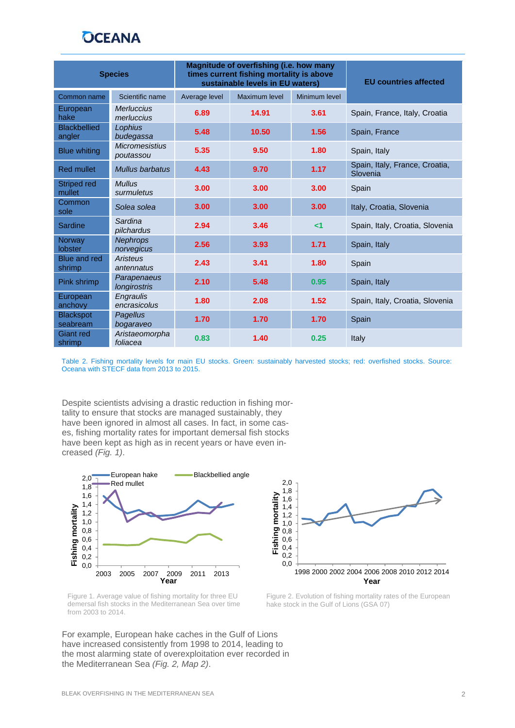# **OCEANA**

| <b>Species</b>                |                                    | Magnitude of overfishing (i.e. how many<br>times current fishing mortality is above<br>sustainable levels in EU waters) |               |               | <b>EU countries affected</b>               |
|-------------------------------|------------------------------------|-------------------------------------------------------------------------------------------------------------------------|---------------|---------------|--------------------------------------------|
| Common name                   | Scientific name                    | Average level                                                                                                           | Maximum level | Minimum level |                                            |
| European<br>hake              | <b>Merluccius</b><br>merluccius    | 6.89                                                                                                                    | 14.91         | 3.61          | Spain, France, Italy, Croatia              |
| <b>Blackbellied</b><br>angler | Lophius<br>budegassa               | 5.48                                                                                                                    | 10.50         | 1.56          | Spain, France                              |
| <b>Blue whiting</b>           | <b>Micromesistius</b><br>poutassou | 5.35                                                                                                                    | 9.50          | 1.80          | Spain, Italy                               |
| <b>Red mullet</b>             | Mullus barbatus                    | 4.43                                                                                                                    | 9.70          | 1.17          | Spain, Italy, France, Croatia,<br>Slovenia |
| Striped red<br>mullet         | <b>Mullus</b><br>surmuletus        | 3.00                                                                                                                    | 3.00          | 3.00          | Spain                                      |
| Common<br>sole                | Solea solea                        | 3.00                                                                                                                    | 3.00          | 3.00          | Italy, Croatia, Slovenia                   |
| Sardine                       | Sardina<br>pilchardus              | 2.94                                                                                                                    | 3.46          | $\leq$ 1      | Spain, Italy, Croatia, Slovenia            |
| Norway<br><b>lobster</b>      | <b>Nephrops</b><br>norvegicus      | 2.56                                                                                                                    | 3.93          | 1.71          | Spain, Italy                               |
| <b>Blue and red</b><br>shrimp | Aristeus<br>antennatus             | 2.43                                                                                                                    | 3.41          | 1.80          | Spain                                      |
| Pink shrimp                   | Parapenaeus<br><b>longirostris</b> | 2.10                                                                                                                    | 5.48          | 0.95          | Spain, Italy                               |
| European<br>anchovy           | Engraulis<br>encrasicolus          | 1.80                                                                                                                    | 2.08          | 1.52          | Spain, Italy, Croatia, Slovenia            |
| <b>Blackspot</b><br>seabream  | Pagellus<br>bogaraveo              | 1.70                                                                                                                    | 1.70          | 1.70          | Spain                                      |
| <b>Giant</b> red<br>shrimp    | Aristaeomorpha<br>foliacea         | 0.83                                                                                                                    | 1.40          | 0.25          | Italy                                      |

Table 2. Fishing mortality levels for main EU stocks. Green: sustainably harvested stocks; red: overfished stocks. Source: Oceana with STECF data from 2013 to 2015.

Despite scientists advising a drastic reduction in fishing mortality to ensure that stocks are managed sustainably, they have been ignored in almost all cases. In fact, in some cases, fishing mortality rates for important demersal fish stocks have been kept as high as in recent years or have even increased *(Fig. 1)*.



Figure 1. Average value of fishing mortality for three EU demersal fish stocks in the Mediterranean Sea over time from 2003 to 2014.

For example, European hake caches in the Gulf of Lions have increased consistently from 1998 to 2014, leading to the most alarming state of overexploitation ever recorded in the Mediterranean Sea *(Fig. 2, Map 2)*.



Figure 2. Evolution of fishing mortality rates of the European hake stock in the Gulf of Lions (GSA 07)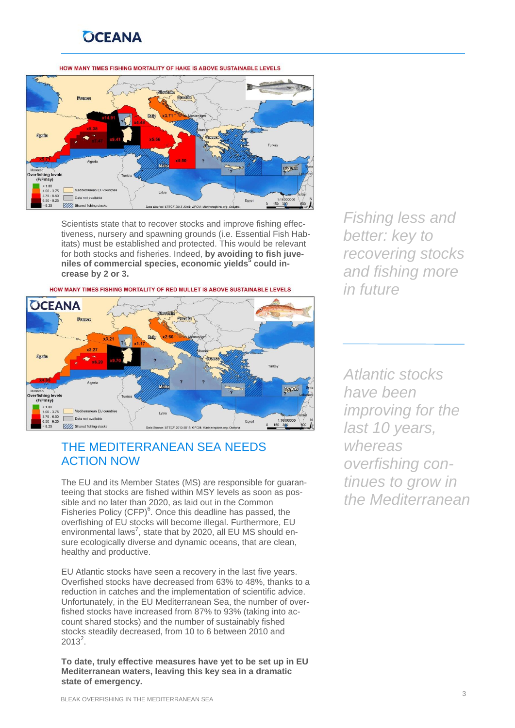# **OCEANA**

#### HOW MANY TIMES FISHING MORTALITY OF HAKE IS ABOVE SUSTAINABLE LEVELS



Scientists state that to recover stocks and improve fishing effectiveness, nursery and spawning grounds (i.e. Essential Fish Habitats) must be established and protected. This would be relevant for both stocks and fisheries. Indeed, **by avoiding to fish juveniles of commercial species, economic yields<sup>5</sup> could increase by 2 or 3.** 



#### HOW MANY TIMES FISHING MORTALITY OF RED MULLET IS ABOVE SUSTAINABLE LEVELS

## THE MEDITERRANEAN SEA NEEDS ACTION NOW

The EU and its Member States (MS) are responsible for guaranteeing that stocks are fished within MSY levels as soon as possible and no later than 2020, as laid out in the Common Fisheries Policy  $(CFP)^6$ . Once this deadline has passed, the overfishing of EU stocks will become illegal. Furthermore, EU environmental laws<sup>7</sup>, state that by 2020, all EU MS should ensure ecologically diverse and dynamic oceans, that are clean, healthy and productive.

EU Atlantic stocks have seen a recovery in the last five years. Overfished stocks have decreased from 63% to 48%, thanks to a reduction in catches and the implementation of scientific advice. Unfortunately, in the EU Mediterranean Sea, the number of overfished stocks have increased from 87% to 93% (taking into account shared stocks) and the number of sustainably fished stocks steadily decreased, from 10 to 6 between 2010 and  $2013^2$ .

**To date, truly effective measures have yet to be set up in EU Mediterranean waters, leaving this key sea in a dramatic state of emergency.** 

*Fishing less and better: key to recovering stocks and fishing more in future* 

*Atlantic stocks have been improving for the last 10 years, whereas overfishing continues to grow in the Mediterranean*